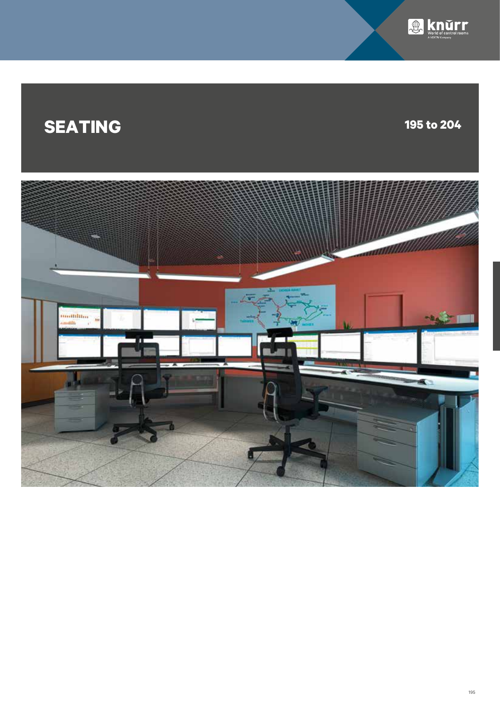

# **SEATING 195 to 204**

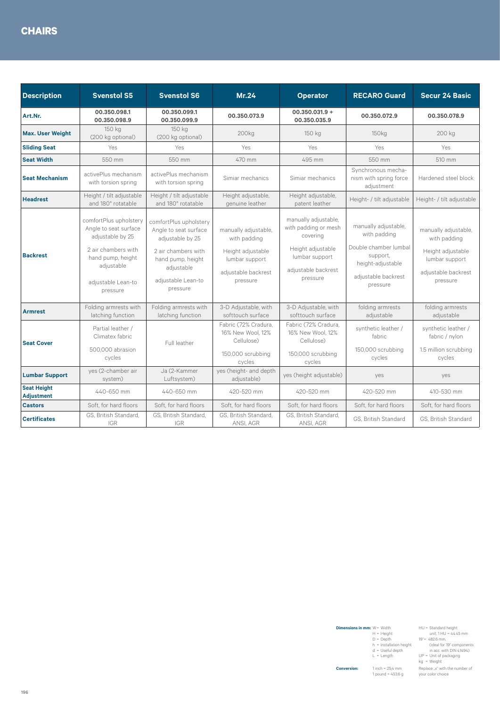| <b>Description</b>                      | <b>Svenstol S5</b>                                                                                                                                              | <b>Svenstol S6</b>                                                                                                                                              | Mr.24                                                                                                          | <b>Operator</b>                                                                                                                    | <b>RECARO Guard</b>                                                                                                               | <b>Secur 24 Basic</b>                                                                                          |
|-----------------------------------------|-----------------------------------------------------------------------------------------------------------------------------------------------------------------|-----------------------------------------------------------------------------------------------------------------------------------------------------------------|----------------------------------------------------------------------------------------------------------------|------------------------------------------------------------------------------------------------------------------------------------|-----------------------------------------------------------------------------------------------------------------------------------|----------------------------------------------------------------------------------------------------------------|
| Art.Nr.                                 | 00.350.098.1<br>00.350.098.9                                                                                                                                    | 00.350.099.1<br>00.350.099.9                                                                                                                                    | 00.350.073.9                                                                                                   | $00.350.031.9 +$<br>00.350.035.9                                                                                                   | 00.350.072.9                                                                                                                      | 00.350.078.9                                                                                                   |
| <b>Max. User Weight</b>                 | 150 kg<br>(200 kg optional)                                                                                                                                     | 150 kg<br>(200 kg optional)                                                                                                                                     | 200 <sub>kg</sub>                                                                                              | 150 kg                                                                                                                             | 150 <sub>kg</sub>                                                                                                                 | 200 kg                                                                                                         |
| <b>Sliding Seat</b>                     | Yes                                                                                                                                                             | Yes                                                                                                                                                             | Yes                                                                                                            | Yes                                                                                                                                | Yes                                                                                                                               | Yes                                                                                                            |
| <b>Seat Width</b>                       | 550 mm                                                                                                                                                          | 550 mm                                                                                                                                                          | 470 mm                                                                                                         | 495 mm                                                                                                                             | 550 mm                                                                                                                            | 510 mm                                                                                                         |
| <b>Seat Mechanism</b>                   | activePlus mechanism<br>with torsion spring                                                                                                                     | activePlus mechanism<br>with torsion spring                                                                                                                     | Simiar mechanics                                                                                               | Simiar mechanics                                                                                                                   | Synchronous mecha-<br>nism with spring force<br>adjustment                                                                        | Hardened steel block                                                                                           |
| <b>Headrest</b>                         | Height / tilt adjustable<br>and 180° rotatable                                                                                                                  | Height / tilt adjustable<br>and 180° rotatable                                                                                                                  | Height adjustable,<br>genuine leather                                                                          | Height adjustable,<br>patent leather                                                                                               | Height- / tilt adjustable                                                                                                         | Height- / tilt adjustable                                                                                      |
| <b>Backrest</b>                         | comfortPlus upholstery<br>Angle to seat surface<br>adjustable by 25<br>2 air chambers with<br>hand pump, height<br>adjustable<br>adjustable Lean-to<br>pressure | comfortPlus upholstery<br>Angle to seat surface<br>adjustable by 25<br>2 air chambers with<br>hand pump, height<br>adjustable<br>adjustable Lean-to<br>pressure | manually adjustable.<br>with padding<br>Height adjustable<br>lumbar support<br>adjustable backrest<br>pressure | manually adjustable,<br>with padding or mesh<br>covering<br>Height adjustable<br>lumbar support<br>adjustable backrest<br>pressure | manually adjustable.<br>with padding<br>Double chamber lumbal<br>support,<br>height-adjustable<br>adjustable backrest<br>pressure | manually adjustable,<br>with padding<br>Height adjustable<br>lumbar support<br>adjustable backrest<br>pressure |
| <b>Armrest</b>                          | Folding armrests with<br>latching function                                                                                                                      | Folding armrests with<br>latching function                                                                                                                      | 3-D Adjustable, with<br>softtouch surface                                                                      | 3-D Adjustable, with<br>softtouch surface                                                                                          | folding armrests<br>adjustable                                                                                                    | folding armrests<br>adjustable                                                                                 |
| <b>Seat Cover</b>                       | Partial leather /<br>Climatex fabric<br>500,000 abrasion<br>cycles                                                                                              | Full leather                                                                                                                                                    | Fabric (72% Cradura.<br>16% New Wool, 12%<br>Cellulose)<br>150,000 scrubbing<br>cycles                         | Fabric (72% Cradura,<br>16% New Wool, 12%<br>Cellulose)<br>150,000 scrubbing<br>cycles                                             | synthetic leather /<br>fabric<br>150,000 scrubbing<br>cycles                                                                      | synthetic leather /<br>fabric / nylon<br>1.5 million scrubbing<br>cycles                                       |
| <b>Lumbar Support</b>                   | yes (2-chamber air<br>system)                                                                                                                                   | Ja (2-Kammer<br>Luftsystem)                                                                                                                                     | yes (height- and depth<br>adjustable)                                                                          | yes (height adjustable)                                                                                                            | yes                                                                                                                               | yes                                                                                                            |
| <b>Seat Height</b><br><b>Adjustment</b> | 440-650 mm                                                                                                                                                      | 440-650 mm                                                                                                                                                      | 420-520 mm                                                                                                     | 420-520 mm                                                                                                                         | 420-520 mm                                                                                                                        | 410-530 mm                                                                                                     |
| <b>Castors</b>                          | Soft, for hard floors                                                                                                                                           | Soft, for hard floors                                                                                                                                           | Soft, for hard floors                                                                                          | Soft, for hard floors                                                                                                              | Soft, for hard floors                                                                                                             | Soft, for hard floors                                                                                          |
| <b>Certificates</b>                     | GS, British Standard,<br><b>IGR</b>                                                                                                                             | GS, British Standard,<br><b>IGR</b>                                                                                                                             | GS, British Standard,<br>ANSI, AGR                                                                             | GS, British Standard,<br>ANSI, AGR                                                                                                 | GS. British Standard                                                                                                              | GS. British Standard                                                                                           |

| <b>Dimensions in mm:</b> $W = Width$ | $H = Height$<br>$D = Depth$<br>$h =$ Installation height<br>$d =$ Useful depth<br>$L = Length$ | HU = Standard height<br>unit. $1 HU = 44.45$ mm<br>19"= 482.6 mm.<br>(ideal for 19" components<br>in acc. with DIN 41494)<br>$UP = Unit of packaging$<br>$kq = Weight$ |
|--------------------------------------|------------------------------------------------------------------------------------------------|------------------------------------------------------------------------------------------------------------------------------------------------------------------------|
| <b>Conversion:</b>                   | 1 inch = $25,4$ mm<br>1 pound = $453,6$ g                                                      | Replace _x" with the number of<br>vour color choice                                                                                                                    |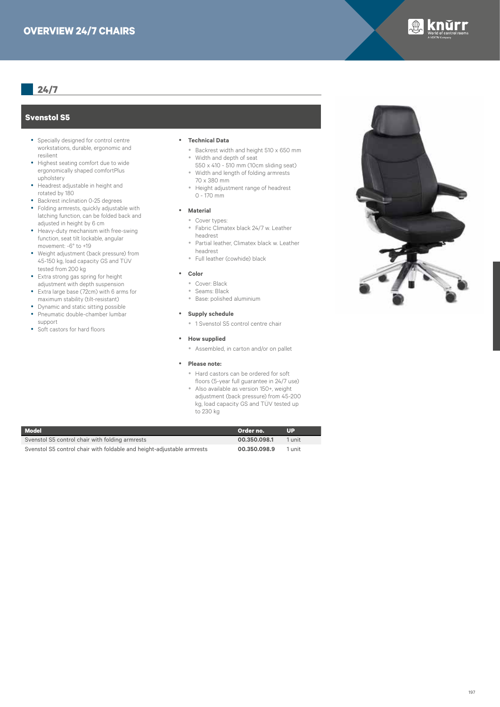

# **Svenstol S5**

- Specially designed for control centre workstations, durable, ergonomic and resilient
- Highest seating comfort due to wide ergonomically shaped comfortPlus upholstery
- Headrest adjustable in height and rotated by 180
- Backrest inclination 0-25 degrees
- Folding armrests, quickly adjustable with latching function, can be folded back and adjusted in height by 6 cm
- Heavy-duty mechanism with free-swing function, seat tilt lockable, angular movement: -6° to +19
- Weight adjustment (back pressure) from 45-150 kg, load capacity GS and TÜV tested from 200 kg
- y Extra strong gas spring for height adjustment with depth suspension
- y Extra large base (72cm) with 6 arms for maximum stability (tilt-resistant)
- Dynamic and static sitting possible
- Pneumatic double-chamber lumbar support
- Soft castors for hard floors

#### y **Technical Data**

- y Backrest width and height 510 x 650 mm • Width and depth of seat
- 550 x 410 510 mm (10cm sliding seat) y Width and length of folding armrests
- 70 x 380 mm • Height adjustment range of headrest 0 - 170 mm
- **• Material** 
	- Cover types:
	- y Fabric Climatex black 24/7 w. Leather
	- headrest
	- Partial leather, Climatex black w. Leather headrest
	- Full leather (cowhide) black

### y **Color**

- y Cover: Black
- y Seams: Black
- y Base: polished aluminium

#### **•** Supply schedule

• 1 Svenstol S5 control centre chair

#### **•** How supplied

• Assembled, in carton and/or on pallet

#### y **Please note:**

- y Hard castors can be ordered for soft floors (5-year full guarantee in 24/7 use)
- Also available as version 150+, weight adjustment (back pressure) from 45-200 kg, load capacity GS and TÜV tested up to 230 kg

| <b>Model</b>                                                           | Order no.    | UP     |
|------------------------------------------------------------------------|--------------|--------|
| Svenstol S5 control chair with folding armrests                        | 00.350.098.1 | 1 unit |
| Svenstol S5 control chair with foldable and height-adjustable armrests | 00.350.098.9 | 1 unit |

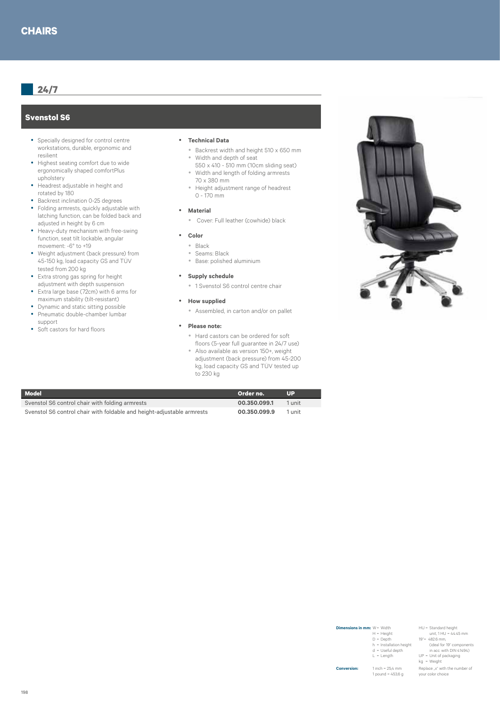## **Svenstol S6**

- Specially designed for control centre workstations, durable, ergonomic and resilient
- Highest seating comfort due to wide ergonomically shaped comfortPlus upholstery
- Headrest adjustable in height and rotated by 180
- Backrest inclination 0-25 degrees
- Folding armrests, quickly adjustable with latching function, can be folded back and adjusted in height by 6 cm
- Heavy-duty mechanism with free-swing function, seat tilt lockable, angular movement: -6° to +19
- Weight adjustment (back pressure) from 45-150 kg, load capacity GS and TÜV tested from 200 kg
- y Extra strong gas spring for height adjustment with depth suspension
- y Extra large base (72cm) with 6 arms for maximum stability (tilt-resistant)
- Dynamic and static sitting possible
- Pneumatic double-chamber lumbar support
- Soft castors for hard floors

#### y **Technical Data**

- y Backrest width and height 510 x 650 mm • Width and depth of seat
- 550 x 410 510 mm (10cm sliding seat) y Width and length of folding armrests
- 70 x 380 mm • Height adjustment range of headrest 0 - 170 mm
- **•** Material
	- Cover: Full leather (cowhide) black
- y **Color**
	- Black
	- Seams: Black
	- y Base: polished aluminium
- **•** Supply schedule
	- 1 Svenstol S6 control centre chair
- **•** How supplied
	- Assembled, in carton and/or on pallet
- y **Please note:**
	- y Hard castors can be ordered for soft floors (5-year full guarantee in 24/7 use)
	- Also available as version 150+, weight adjustment (back pressure) from 45-200 kg, load capacity GS and TÜV tested up to 230 kg

| <b>Model</b>                                                           | Order no.    | UP.    |
|------------------------------------------------------------------------|--------------|--------|
| Svenstol S6 control chair with folding armrests                        | 00.350.099.1 | 1 unit |
| Svenstol S6 control chair with foldable and height-adjustable armrests | 00.350.099.9 | 1 unit |



| <b>Dimensions in mm:</b> $W = Width$ | $H = Height$<br>$D = Deoth$<br>$h =$ Installation height<br>$d =$ Useful depth<br>$L = Length$ | HU = Standard height<br>unit. $1 HU = 44.45$ mm<br>19"= 482.6 mm.<br>(ideal for 19" components<br>in acc. with DIN 41494)<br>$UP = Unit of packaging$<br>$kq = Weight$ |
|--------------------------------------|------------------------------------------------------------------------------------------------|------------------------------------------------------------------------------------------------------------------------------------------------------------------------|
| <b>Conversion:</b>                   | $1$ inch = $25.4$ mm<br>1 pound = $453.6$ a                                                    | Replace .x" with the number of<br>your color choice                                                                                                                    |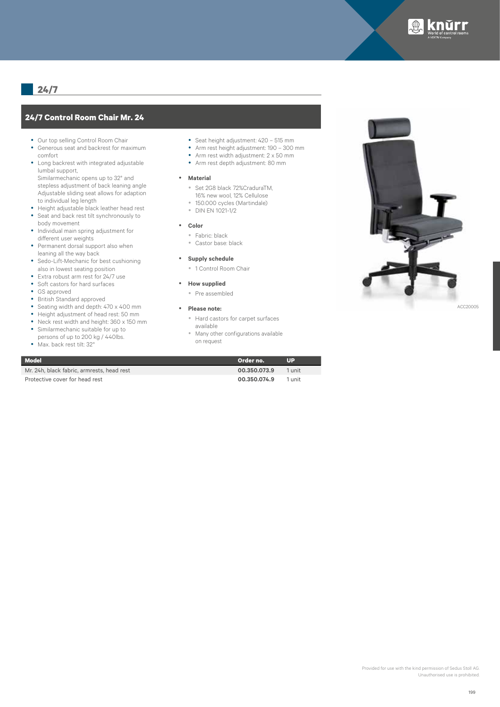

# **24/7 Control Room Chair Mr. 24**

- Our top selling Control Room Chair
- Generous seat and backrest for maximum comfort
- Long backrest with integrated adjustable lumbal support, Similarmechanic opens up to 32° and stepless adjustment of back leaning angle
- Adjustable sliding seat allows for adaption to individual leg length • Height adjustable black leather head rest
- Seat and back rest tilt synchronously to
- body movement • Individual main spring adjustment for different user weights
- Permanent dorsal support also when leaning all the way back
- Sedo-Lift-Mechanic for best cushioning also in lowest seating position
- Extra robust arm rest for 24/7 use
- Soft castors for hard surfaces
- GS approved
- British Standard approved
- Seating width and depth: 470 x 400 mm
- y Height adjustment of head rest: 50 mm
- y Neck rest width and height: 360 x 150 mm
- Similarmechanic suitable for up to persons of up to 200 kg / 440lbs.
- Max. back rest tilt: 32°
- Seat height adjustment: 420 515 mm
- y Arm rest height adjustment: 190 300 mm
- Arm rest width adjustment:  $2 \times 50$  mm
- Arm rest depth adjustment: 80 mm

#### **•** Material

- y Set 2G8 black 72%CraduraTM, 16% new wool, 12% Cellulose
- 150.000 cycles (Martindale)
- **DIN FN 1021-1/2**
- y **Color**
	- Fabric: black
		- Castor base: black
- 
- **•** Supply schedule
	- 1 Control Room Chair
- **•** How supplied
	- Pre assembled
- y **Please note:**
	- y Hard castors for carpet surfaces
	- available
	- Many other configurations available on request

| <b>Model</b>                               | Order no.    | Шэ     |
|--------------------------------------------|--------------|--------|
| Mr. 24h, black fabric, armrests, head rest | 00.350.073.9 | 1 unit |
| Protective cover for head rest             | 00.350.074.9 | 1 unit |

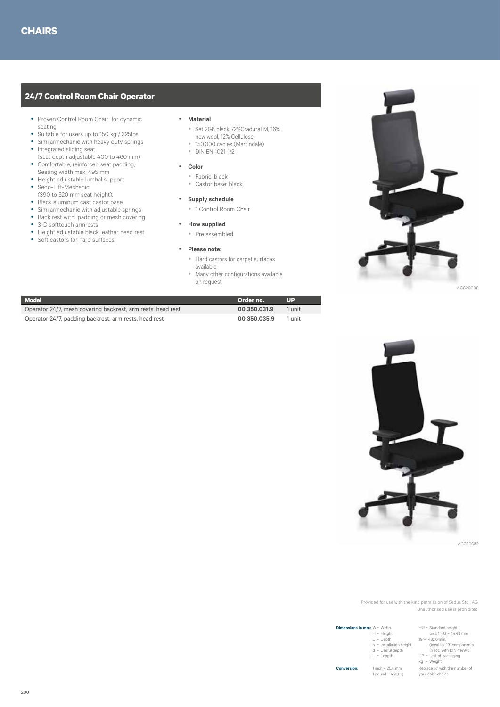# **24/7 Control Room Chair Operator**

- Proven Control Room Chair for dynamic seating
- Suitable for users up to 150 kg / 325lbs.
- Similarmechanic with heavy duty springs • Integrated sliding seat
- (seat depth adjustable 400 to 460 mm)
- Comfortable, reinforced seat padding, Seating width max. 495 mm
- y Height adjustable lumbal support • Sedo-Lift-Mechanic
- (390 to 520 mm seat height),
- Black aluminum cast castor base
- Similarmechanic with adjustable springs
- Back rest with padding or mesh covering
- 3-D softtouch armrests
- Height adjustable black leather head rest
- Soft castors for hard surfaces

#### y **Material**

- y Set 2G8 black 72%CraduraTM, 16%
- new wool, 12% Cellulose • 150.000 cycles (Martindale)
- DIN EN 1021-1/2
- y **Color**
	- y Fabric: black
	- Castor base: black
- **•** Supply schedule
	- 1 Control Room Chair
- **•** How supplied
- Pre assembled
- y **Please note:**
	- Hard castors for carpet surfaces
	- available
	- Many other configurations available on request



| Model                                                       | Order no.    | Шэ     |
|-------------------------------------------------------------|--------------|--------|
| Operator 24/7, mesh covering backrest, arm rests, head rest | 00.350.031.9 | 1 unit |
| Operator 24/7, padding backrest, arm rests, head rest       | 00.350.035.9 | 1 unit |



ACC20052

Provided for use with the kind permission of Sedus Stoll AG. Unauthorised use is prohibited.

| <b>Dimensions in mm:</b> $W = Width$ | $H = Height$<br>$D = Deoth$<br>$h =$ Installation height<br>$d =$ Useful depth<br>$L = Length$ | HU = Standard height<br>unit. $1 HU = 44.45$ mm<br>19"= 482.6 mm.<br>(ideal for 19" components<br>in acc. with DIN 41494)<br>$UP = Unit of packaging$<br>ka = Weiaht |
|--------------------------------------|------------------------------------------------------------------------------------------------|----------------------------------------------------------------------------------------------------------------------------------------------------------------------|
| <b>Conversion:</b>                   | $1$ inch = $25.4$ mm<br>1 pound = $453,6$ g                                                    | Replace .x" with the number of<br>your color choice                                                                                                                  |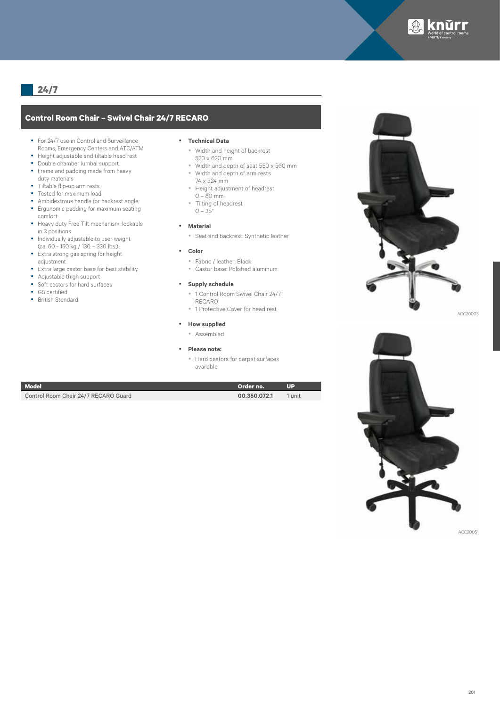

# **Control Room Chair – Swivel Chair 24/7 RECARO**

- For 24/7 use in Control and Surveillance Rooms, Emergency Centers and ATC/ATM
- Height adjustable and tiltable head rest
- Double chamber lumbal support
- Frame and padding made from heavy duty materials
- Tiltable flip-up arm rests
- Tested for maximum load
- Ambidextrous handle for backrest angle
- y Ergonomic padding for maximum seating comfort
- Heavy duty Free Tilt mechanism, lockable in 3 positions
- Individually adjustable to user weight (ca. 60 - 150 kg / 130 – 330 lbs.)
- Extra strong gas spring for height adjustment
- Extra large castor base for best stability
- Adjustable thigh support
- Soft castors for hard surfaces
- GS certified
- British Standard

#### **•** Technical Data

- Width and height of backrest 520 x 620 mm
- y Width and depth of seat 550 x 560 mm y Width and depth of arm rests
- 74 x 324 mm
- Height adjustment of headrest
- $0 80$  mm
- Tilting of headrest  $0 - 35^{\circ}$
- **•** Material
	- Seat and backrest: Synthetic leather
- y **Color**
	- y Fabric / leather: Black
	- y Castor base: Polished aluminum
- **•** Supply schedule
	- <sup>•</sup> 1 Control Room Swivel Chair 24/7 RECARO
	- 1 Protective Cover for head rest

### **•** How supplied

- Assembled
- **Please note:** 
	- Hard castors for carpet surfaces available

| <b>Model</b>                         | Order no.    | IUP.   |
|--------------------------------------|--------------|--------|
| Control Room Chair 24/7 RECARO Guard | 00.350.072.1 | 1 unit |



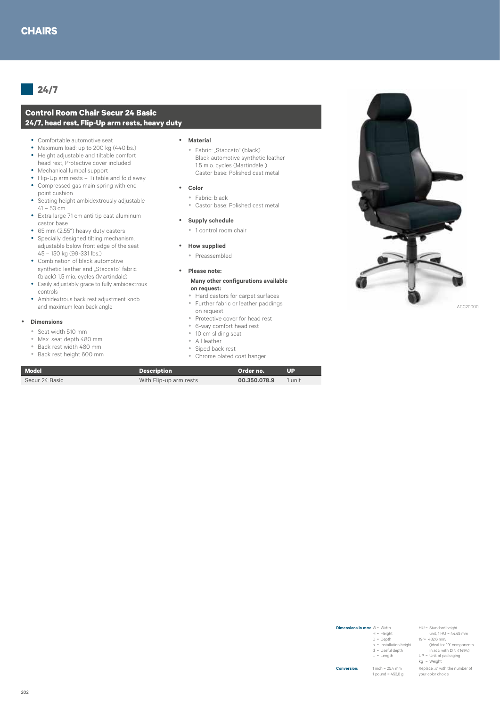# **Control Room Chair Secur 24 Basic 24/7, head rest, Flip-Up arm rests, heavy duty**

- Comfortable automotive seat
- Maximum load: up to 200 kg (440lbs.)
- Height adjustable and tiltable comfort head rest, Protective cover included
- Mechanical lumbal support
- Flip-Up arm rests Tiltable and fold away
- Compressed gas main spring with end point cushion
- Seating height ambidextrously adjustable  $41 - 53$  cm
- Extra large 71 cm anti tip cast aluminum castor base
- 65 mm (2,55") heavy duty castors
- Specially designed tilting mechanism, adjustable below front edge of the seat 45 – 150 kg (99-331 lbs.)
- Combination of black automotive synthetic leather and "Staccato" fabric (black) 1.5 mio. cycles (Martindale)
- Easily adjustably grace to fully ambidextrous controls
- Ambidextrous back rest adjustment knob and maximum lean back angle

#### **•** Dimensions

- y Seat width 510 mm
- Max. seat depth 480 mm
- Back rest width 480 mm
- y Back rest height 600 mm

#### y **Material**

- Fabric: "Staccato" (black) Black automotive synthetic leather 1.5 mio. cycles (Martindale ) Castor base: Polished cast metal
- y **Color**
- Fabric: black
- y Castor base: Polished cast metal

#### **•** Supply schedule

• 1 control room chair

#### **•** How supplied

• Preassembled

# y **Please note:**

#### **Many other configurations available on request:**

- Hard castors for carpet surfaces • Further fabric or leather paddings on request
- Protective cover for head rest
- 6-way comfort head rest
- 10 cm sliding seat
- All leather

**Model Description Order no. UP** Secur 24 Basic With Flip-up arm rests **00.350.078.9** 1 unit

- Siped back rest
- Chrome plated coat hanger



| <b>Dimensions in mm:</b> $W = Width$ | $H = Height$<br>$D = Deoth$<br>$h =$ Installation height<br>$d =$ Useful depth<br>$L = Lenath$ | HU = Standard height<br>unit. $1 HU = 44.45$ mm<br>19"= 482.6 mm.<br>(ideal for 19" components<br>in acc. with DIN 41494)<br>$UP = Unit of packaging$<br>$ka = Weight$ |
|--------------------------------------|------------------------------------------------------------------------------------------------|------------------------------------------------------------------------------------------------------------------------------------------------------------------------|
| <b>Conversion:</b>                   | $1$ inch = $25.4$ mm<br>1 pound = $453,6$ g                                                    | Replace .x" with the number of<br>vour color choice                                                                                                                    |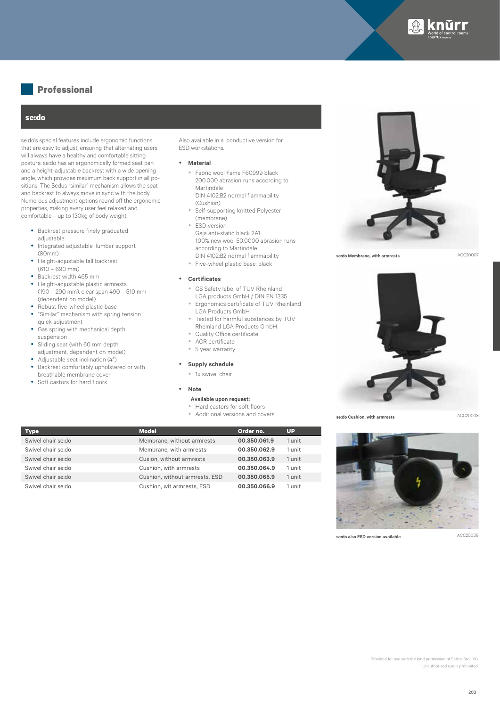

# **Professional**

### **se:do**

se:do's special features include ergonomic functions that are easy to adjust, ensuring that alternating users will always have a healthy and comfortable sitting posture. se:do has an ergonomically formed seat pan and a height-adjustable backrest with a wide opening angle, which provides maximum back support in all positions. The Sedus "similar" mechanism allows the seat and backrest to always move in sync with the body. Numerous adjustment options round off the ergonomic properties, making every user feel relaxed and comfortable – up to 130kg of body weight.

- Backrest pressure finely graduated adiustable
- Integrated adjustable lumbar support (80mm)
- Height-adjustable tall backrest (610 – 690 mm)
- y Backrest width 465 mm
- Height-adjustable plastic armrests (190 – 290 mm), clear span 490 – 510 mm (dependent on model)
- Robust five-wheel plastic base • "Similar" mechanism with spring tension
- quick adjustment
- Gas spring with mechanical depth suspension
- Sliding seat (with 60 mm depth adjustment, dependent on model)
- Adjustable seat inclination (4°)
- Backrest comfortably upholstered or with breathable membrane cover
- Soft castors for hard floors

Also available in a conductive version for ESD workstations.

#### **•** Material

- Fabric wool Fame F60999 black 200.000 abrasion runs according to Martindale DIN 4102:B2 normal flammability (Cushion)
- Self-supporting knitted Polyester (membrane)
- ESD version: Gaja anti-static black 2A1 100% new wool 50.0000 abrasion runs according to Martindale DIN 4102:B2 normal flammability
- Five-wheel plastic base: black

#### y **Certificates**

- y GS Safety label of TÜV Rheinland
- LGA products GmbH / DIN EN 1335 y Ergonomics certificate of TÜV Rheinland
- LGA Products GmbH Tested for harmful substances by TÜV
- Rheinland LGA Products GmbH
- Quality Office certificate
- AGR certificate
- 5 year warranty

#### **•** Supply schedule

• 1x swivel chair

#### • **Note**

### **Available upon request:**

- Hard castors for soft floors
- Additional versions and covers

| <b>Type</b>        | <b>Model</b>                   | Order no.    | <b>UP</b> |
|--------------------|--------------------------------|--------------|-----------|
| Swivel chair se:do | Membrane, without armrests     | 00.350.061.9 | 1 unit    |
| Swivel chair se:do | Membrane, with armrests        | 00.350.062.9 | 1 unit    |
| Swivel chair se:do | Cusion, without armrests       | 00.350.063.9 | 1 unit    |
| Swivel chair se:do | Cushion, with armrests         | 00.350.064.9 | 1 unit    |
| Swivel chair se:do | Cushion, without armrests, ESD | 00.350.065.9 | 1 unit    |
| Swivel chair se:do | Cushion, wit armrests, ESD     | 00.350.066.9 | 1 unit    |



**se:do Membrane, with armrests**

ACC20007



**se:do Cushion, with armrests**

ACC20008



**se:do also ESD version available**

ACC20009